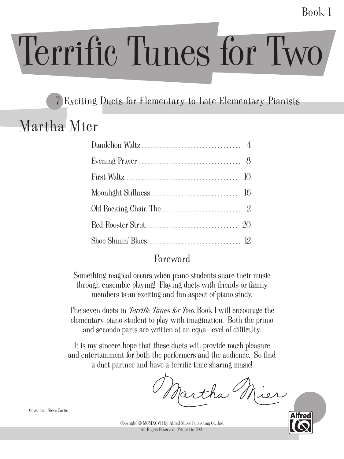Book 1

# Terrific Tunes for Two

### 7 Exciting Duets for Elementary to Late Elementary Pianists

# Martha Mier

#### Foreword

Something magical occurs when piano students share their music through ensemble playing! Playing duets with friends or family members is an exciting and fun aspect of piano study.

The seven duets in *Terrific Tunes for Two* Book I will encourage the elementary piano student to play with imagination. Both the primo and secondo parts are written at an equal level of difficulty.

It is my sincere hope that these duets will provide much pleasure and entertainment for both the performers and the audience. So find a duet partner and have a terrific time sharing music.

Martha



Cover art: Steve Curtis

Copyright © MCMXCVII by Alfred Music Publishing Co., Inc. All Rights Reserved. Printed in USA.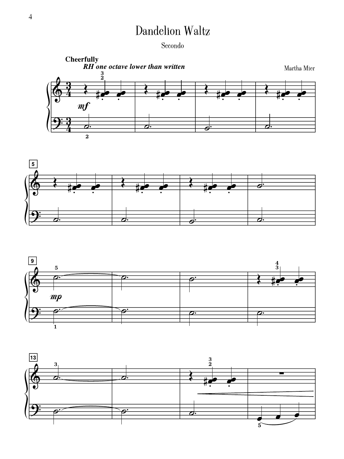# Dandelion Waltz

Secondo